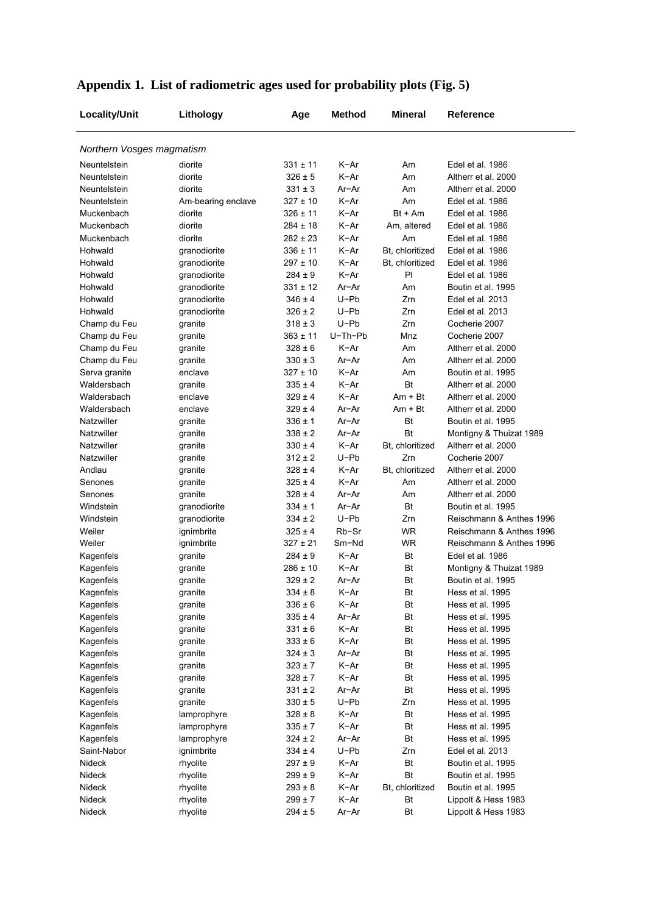| Locality/Unit             | Lithology          | Age          | <b>Method</b> | <b>Mineral</b>  | Reference                |
|---------------------------|--------------------|--------------|---------------|-----------------|--------------------------|
| Northern Vosges magmatism |                    |              |               |                 |                          |
| Neuntelstein              | diorite            | 331 ± 11     | $K-Ar$        | Am              | Edel et al. 1986         |
| Neuntelstein              | diorite            | $326 \pm 5$  | $K-Ar$        | Am              | Altherr et al. 2000      |
| Neuntelstein              | diorite            | $331 \pm 3$  | $Ar-Ar$       | Am              | Altherr et al. 2000      |
| Neuntelstein              | Am-bearing enclave | 327 ± 10     | $K-Ar$        | Am              | Edel et al. 1986         |
| Muckenbach                | diorite            | 326 ± 11     | $K-Ar$        | Bt + Am         | Edel et al. 1986         |
| Muckenbach                | diorite            | 284 ± 18     | K-Ar          | Am, altered     | Edel et al. 1986         |
| Muckenbach                | diorite            | $282 \pm 23$ | K-Ar          | Am              | Edel et al. 1986         |
| Hohwald                   | granodiorite       | $336 \pm 11$ | K-Ar          | Bt, chloritized | Edel et al. 1986         |
| Hohwald                   | granodiorite       | 297 ± 10     | $K-Ar$        | Bt, chloritized | Edel et al. 1986         |
| Hohwald                   | granodiorite       | $284 \pm 9$  | $K-Ar$        | PI              | Edel et al. 1986         |
| Hohwald                   | granodiorite       | $331 \pm 12$ | Ar-Ar         | Am              | Boutin et al. 1995       |
| Hohwald                   | granodiorite       | $346 \pm 4$  | $U-Pb$        | Zrn             | Edel et al. 2013         |
| Hohwald                   | granodiorite       | $326 \pm 2$  | $U-Pb$        | Zrn             | Edel et al. 2013         |
| Champ du Feu              | granite            | $318 \pm 3$  | $U-Pb$        | Zm              | Cocherie 2007            |
| Champ du Feu              | granite            | $363 \pm 11$ | U-Th-Pb       | Mnz             | Cocherie 2007            |
| Champ du Feu              | granite            | $328 \pm 6$  | $K-Ar$        | Am              | Altherr et al. 2000      |
| Champ du Feu              | granite            | $330 \pm 3$  | Ar-Ar         | Am              | Altherr et al. 2000      |
| Serva granite             | enclave            | 327 ± 10     | $K-Ar$        | Am              | Boutin et al. 1995       |
| Waldersbach               | granite            | $335 \pm 4$  | $K-Ar$        | <b>Bt</b>       | Altherr et al. 2000      |
| Waldersbach               | enclave            | $329 \pm 4$  | $K-Ar$        | $Am + Bt$       | Altherr et al. 2000      |
| Waldersbach               | enclave            | $329 \pm 4$  | Ar-Ar         | $Am + Bt$       | Altherr et al. 2000      |
| Natzwiller                | granite            | $336 \pm 1$  | Ar-Ar         | Bt              | Boutin et al. 1995       |
| Natzwiller                | granite            | $338 \pm 2$  | Ar-Ar         | Bt              | Montigny & Thuizat 1989  |
| Natzwiller                | granite            | $330 \pm 4$  | K-Ar          | Bt, chloritized | Altherr et al. 2000      |
| Natzwiller                | granite            | $312 \pm 2$  | $U-Pb$        | Zm              | Cocherie 2007            |
| Andlau                    | granite            | $328 \pm 4$  | K-Ar          | Bt, chloritized | Altherr et al. 2000      |
| Senones                   | granite            | $325 \pm 4$  | $K-Ar$        | Am              | Altherr et al. 2000      |
| Senones                   | granite            | $328 \pm 4$  | Ar-Ar         | Am              | Altherr et al. 2000      |
| Windstein                 | granodiorite       | $334 \pm 1$  | Ar-Ar         | Bt              | Boutin et al. 1995       |
| Windstein                 | granodiorite       | $334 \pm 2$  | $U-Pb$        | Zrn             | Reischmann & Anthes 1996 |
| Weiler                    | ignimbrite         | $325 \pm 4$  | Rb-Sr         | <b>WR</b>       | Reischmann & Anthes 1996 |
| Weiler                    | ignimbrite         | 327 ± 21     | Sm-Nd         | <b>WR</b>       | Reischmann & Anthes 1996 |
| Kagenfels                 | granite            | $284 \pm 9$  | $K-Ar$        | Bt              | Edel et al. 1986         |
| Kagenfels                 | granite            | 286 ± 10     | $K-Ar$        | Bt              | Montigny & Thuizat 1989  |
| Kagenfels                 | granite            | $329 \pm 2$  | Ar-Ar         | Bt              | Boutin et al. 1995       |
| Kagenfels                 | granite            | $334 \pm 8$  | K-Ar          | Bt              | Hess et al. 1995         |
| Kagenfels                 | granite            | $336 \pm 6$  | K-Ar          | Bt              | Hess et al. 1995         |
| Kagenfels                 | granite            | $335 \pm 4$  | Ar-Ar         | Bt              | Hess et al. 1995         |
| Kagenfels                 | granite            | $331 \pm 6$  | K-Ar          | Bt              | Hess et al. 1995         |
| Kagenfels                 | granite            | $333\pm6$    | K-Ar          | Bt              | Hess et al. 1995         |
| Kagenfels                 | granite            | $324 \pm 3$  | Ar-Ar         | Bt              | Hess et al. 1995         |
| Kagenfels                 | granite            | $323 \pm 7$  | K-Ar          | Bt              | Hess et al. 1995         |
| Kagenfels                 | granite            | $328 \pm 7$  | K-Ar          | Bt              | Hess et al. 1995         |
| Kagenfels                 | granite            | $331 \pm 2$  | Ar-Ar         | Bt              | Hess et al. 1995         |
| Kagenfels                 | granite            | $330 \pm 5$  | $U-Pb$        | Zrn             | Hess et al. 1995         |
| Kagenfels                 | lamprophyre        | $328 \pm 8$  | K-Ar          | Bt              | Hess et al. 1995         |
| Kagenfels                 | lamprophyre        | $335 \pm 7$  | K-Ar          | Bt              | Hess et al. 1995         |
| Kagenfels                 | lamprophyre        | $324 \pm 2$  | Ar-Ar         | Bt              | Hess et al. 1995         |
| Saint-Nabor               | ignimbrite         | $334 \pm 4$  | $U-Pb$        | Zrn             | Edel et al. 2013         |
| Nideck                    | rhyolite           | $297 \pm 9$  | K-Ar          | Bt              | Boutin et al. 1995       |
| Nideck                    | rhyolite           | $299 \pm 9$  | K-Ar          | Bt              | Boutin et al. 1995       |
| Nideck                    | rhyolite           | $293 \pm 8$  | K-Ar          | Bt, chloritized | Boutin et al. 1995       |
| Nideck                    | rhyolite           | $299 \pm 7$  | K-Ar          | Bt              | Lippolt & Hess 1983      |
| Nideck                    | rhyolite           | $294 \pm 5$  | Ar-Ar         | Bt              | Lippolt & Hess 1983      |

## **Appendix 1. List of radiometric ages used for probability plots (Fig. 5)**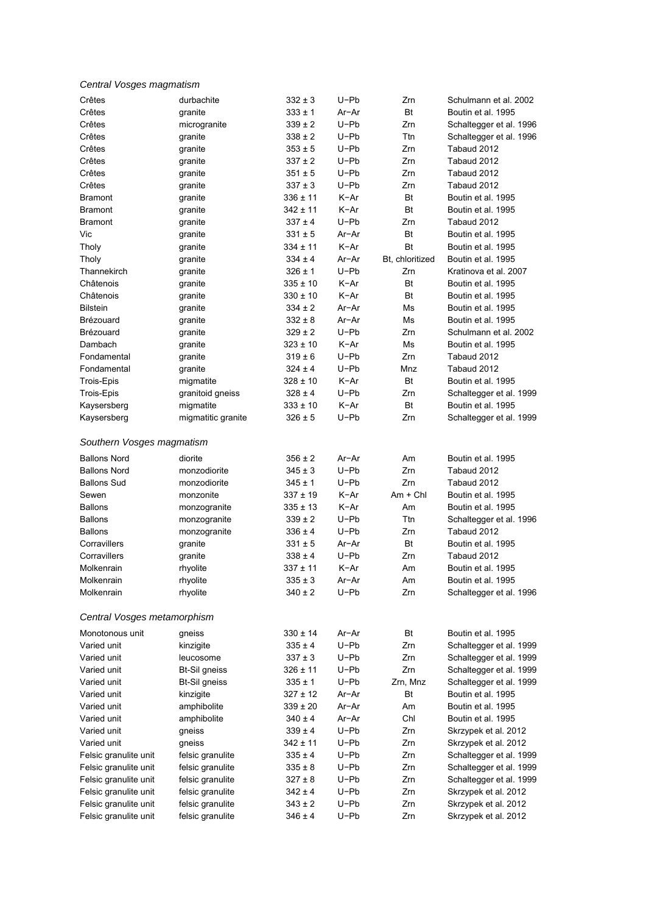|  | Central Vosges magmatism |  |
|--|--------------------------|--|
|--|--------------------------|--|

| Crêtes                                         | durbachite                           | $332 \pm 3$                 | $U-Pb$       | Zrn             | Schulmann et al. 2002   |
|------------------------------------------------|--------------------------------------|-----------------------------|--------------|-----------------|-------------------------|
| Crêtes                                         | granite                              | $333 \pm 1$                 | Ar-Ar        | <b>Bt</b>       | Boutin et al. 1995      |
| Crêtes                                         | microgranite                         | $339 \pm 2$                 | $U-Pb$       | Zrn             | Schaltegger et al. 1996 |
| Crêtes                                         | granite                              | $338 \pm 2$                 | $U-Pb$       | Ttn             | Schaltegger et al. 1996 |
| Crêtes                                         | granite                              | $353\pm5$                   | $U-Pb$       | Zrn             | Tabaud 2012             |
| Crêtes                                         | granite                              | $337 \pm 2$                 | $U-Pb$       | Zm              | Tabaud 2012             |
| Crêtes                                         | granite                              | $351 \pm 5$                 | U-Pb         | Zrn             | Tabaud 2012             |
| Crêtes                                         | granite                              | $337 \pm 3$                 | $U-Pb$       | Zm              | Tabaud 2012             |
| <b>Bramont</b>                                 | granite                              | $336 \pm 11$                | K-Ar         | <b>Bt</b>       | Boutin et al. 1995      |
| <b>Bramont</b>                                 | granite                              | $342 \pm 11$                | $K-Ar$       | <b>Bt</b>       | Boutin et al. 1995      |
| <b>Bramont</b>                                 | granite                              | $337 \pm 4$                 | $U-Pb$       | Zrn             | Tabaud 2012             |
| Vic                                            | granite                              | $331 \pm 5$                 | Ar-Ar        | Bt              | Boutin et al. 1995      |
| Tholy                                          | granite                              | $334 \pm 11$                | $K-Ar$       | Bt              | Boutin et al. 1995      |
| Tholy                                          | granite                              | $334 \pm 4$                 | Ar-Ar        | Bt, chloritized | Boutin et al. 1995      |
| Thannekirch                                    | granite                              | $326 \pm 1$                 | U-Pb         | Zrn             | Kratinova et al. 2007   |
| Châtenois                                      | granite                              | $335 \pm 10$                | K-Ar         | Bt              | Boutin et al. 1995      |
| Châtenois                                      | granite                              | $330 \pm 10$                | $K-Ar$       | <b>Bt</b>       | Boutin et al. 1995      |
| <b>Bilstein</b>                                | granite                              | $334 \pm 2$                 | $Ar-Ar$      | Ms              | Boutin et al. 1995      |
| Brézouard                                      | granite                              | $332 \pm 8$                 | Ar-Ar        | Ms              | Boutin et al. 1995      |
| Brézouard                                      | granite                              | $329 \pm 2$                 | $U-Pb$       | Zrn             | Schulmann et al. 2002   |
| Dambach                                        | granite                              | $323 \pm 10$                | $K-Ar$       | Ms              | Boutin et al. 1995      |
| Fondamental                                    | granite                              | $319 \pm 6$                 | U-Pb         | Zrn             | Tabaud 2012             |
| Fondamental                                    | granite                              | $324 \pm 4$                 | U-Pb         | Mnz             | Tabaud 2012             |
| Trois-Epis                                     | migmatite                            | $328 \pm 10$                | $K-Ar$       | Bt              | Boutin et al. 1995      |
| Trois-Epis                                     | granitoid gneiss                     | $328 \pm 4$                 | $U-Pb$       | Zrn             | Schaltegger et al. 1999 |
| Kaysersberg                                    | migmatite                            | $333 \pm 10$                | K-Ar         | <b>Bt</b>       | Boutin et al. 1995      |
| Kaysersberg                                    | migmatitic granite                   | $326 \pm 5$                 | U-Pb         | Zrn             | Schaltegger et al. 1999 |
|                                                |                                      |                             |              |                 |                         |
| Southern Vosges magmatism                      |                                      |                             |              |                 |                         |
|                                                |                                      |                             |              |                 |                         |
| <b>Ballons Nord</b>                            | diorite                              | $356 \pm 2$                 | Ar-Ar        | Am              | Boutin et al. 1995      |
| <b>Ballons Nord</b>                            | monzodiorite                         | $345 \pm 3$                 | $U-Pb$       | Zm              | Tabaud 2012             |
| <b>Ballons Sud</b>                             | monzodiorite                         | 345 ± 1                     | $U-Pb$       | Zrn             | Tabaud 2012             |
| Sewen                                          | monzonite                            | $337 \pm 19$                | $K-Ar$       | $Am + ChI$      | Boutin et al. 1995      |
| <b>Ballons</b>                                 | monzogranite                         | $335 \pm 13$                | K-Ar         | Am              | Boutin et al. 1995      |
| <b>Ballons</b>                                 | monzogranite                         | $339 \pm 2$                 | U-Pb         | Ttn             | Schaltegger et al. 1996 |
| <b>Ballons</b>                                 | monzogranite                         | $336 \pm 4$                 | $U-Pb$       | Zrn             | Tabaud 2012             |
| Corravillers                                   | granite                              | $331 \pm 5$                 | Ar-Ar        | Bt              | Boutin et al. 1995      |
| Corravillers                                   | granite                              | $338 \pm 4$                 | $U-Pb$       | Zrn             | Tabaud 2012             |
| Molkenrain                                     | rhyolite                             | $337 \pm 11$                | K-Ar         | Am              | Boutin et al. 1995      |
| Molkenrain                                     | rhyolite                             | $335 \pm 3$                 | $Ar-Ar$      | Am              | Boutin et al. 1995      |
| Molkenrain                                     | rhyolite                             | $340 \pm 2$                 | U-Pb         | Zrn             | Schaltegger et al. 1996 |
| Central Vosges metamorphism                    |                                      |                             |              |                 |                         |
| Monotonous unit                                | gneiss                               | $330 \pm 14$                | Ar-Ar        | Bt              | Boutin et al. 1995      |
| Varied unit                                    | kinzigite                            | $335 \pm 4$                 | $U-Pb$       | Zrn             | Schaltegger et al. 1999 |
| Varied unit                                    | leucosome                            | $337 \pm 3$                 | $U-Pb$       | Zrn             | Schaltegger et al. 1999 |
| Varied unit                                    | <b>Bt-Sil gneiss</b>                 | $326 \pm 11$                | $U-Pb$       | Zrn             | Schaltegger et al. 1999 |
| Varied unit                                    | <b>Bt-Sil gneiss</b>                 | 335 ± 1                     | $U-Pb$       | Zrn, Mnz        | Schaltegger et al. 1999 |
| Varied unit                                    |                                      | $327 \pm 12$                | $Ar-Ar$      | Bt              | Boutin et al. 1995      |
|                                                | kinzigite<br>amphibolite             |                             | Ar-Ar        |                 | Boutin et al. 1995      |
| Varied unit                                    |                                      | $339 \pm 20$<br>$340 \pm 4$ | Ar-Ar        | Am<br>Chl       | Boutin et al. 1995      |
| Varied unit                                    | amphibolite                          |                             |              |                 |                         |
| Varied unit                                    | gneiss                               | $339 \pm 4$                 | $U-Pb$       | Zrn             | Skrzypek et al. 2012    |
| Varied unit                                    | gneiss                               | $342 \pm 11$                | U-Pb         | Zrn             | Skrzypek et al. 2012    |
| Felsic granulite unit                          | felsic granulite                     | 335 ± 4                     | U-Pb         | Zrn             | Schaltegger et al. 1999 |
| Felsic granulite unit                          | felsic granulite                     | 335 ± 8                     | $U-Pb$       | Zrn             | Schaltegger et al. 1999 |
| Felsic granulite unit                          | felsic granulite                     | $327 \pm 8$                 | U-Pb         | Zrn             | Schaltegger et al. 1999 |
| Felsic granulite unit                          | felsic granulite                     | 342 ± 4                     | U-Pb<br>U-Pb | Zrn<br>Zrn      | Skrzypek et al. 2012    |
| Felsic granulite unit<br>Felsic granulite unit | felsic granulite<br>felsic granulite | 343 ± 2<br>$346 \pm 4$      | $U-Pb$       | Zrn             | Skrzypek et al. 2012    |
|                                                |                                      |                             |              |                 | Skrzypek et al. 2012    |